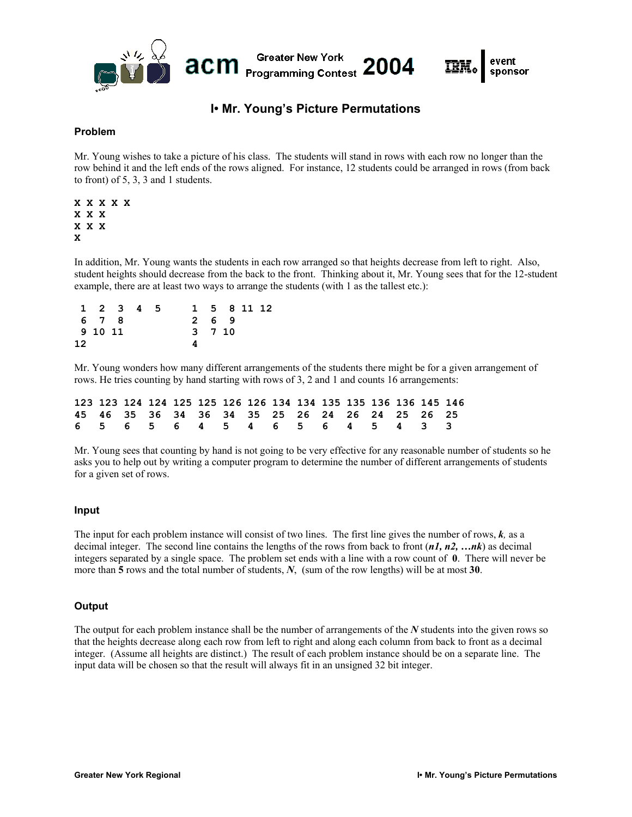

## **I• Mr. Young's Picture Permutations**

## **Problem**

Mr. Young wishes to take a picture of his class. The students will stand in rows with each row no longer than the row behind it and the left ends of the rows aligned. For instance, 12 students could be arranged in rows (from back to front) of 5, 3, 3 and 1 students.

**X X X X X X X X X X X X** 

In addition, Mr. Young wants the students in each row arranged so that heights decrease from left to right. Also, student heights should decrease from the back to the front. Thinking about it, Mr. Young sees that for the 12-student example, there are at least two ways to arrange the students (with 1 as the tallest etc.):

|    |         | 1 2 3 4 | - 5 |  |        |       | 1 5 8 11 12 |  |
|----|---------|---------|-----|--|--------|-------|-------------|--|
|    | 678     |         |     |  |        | 2 6 9 |             |  |
|    | 9 10 11 |         |     |  | 3 7 10 |       |             |  |
| 12 |         |         |     |  |        |       |             |  |

Mr. Young wonders how many different arrangements of the students there might be for a given arrangement of rows. He tries counting by hand starting with rows of 3, 2 and 1 and counts 16 arrangements:

|  | 123 123 124 124 125 125 126 126 134 134 135 135 136 136 145 146 |  |  |  |  |  |  |
|--|-----------------------------------------------------------------|--|--|--|--|--|--|
|  | 45 46 35 36 34 36 34 35 25 26 24 26 24 25 26 25                 |  |  |  |  |  |  |
|  | 6 5 6 5 6 4 5 4 6 5 6 4 5 4 3 3                                 |  |  |  |  |  |  |

Mr. Young sees that counting by hand is not going to be very effective for any reasonable number of students so he asks you to help out by writing a computer program to determine the number of different arrangements of students for a given set of rows.

## **Input**

The input for each problem instance will consist of two lines. The first line gives the number of rows, *k,* as a decimal integer. The second line contains the lengths of the rows from back to front (*n1, n2, …nk*) as decimal integers separated by a single space. The problem set ends with a line with a row count of **0**. There will never be more than **5** rows and the total number of students, *N*, (sum of the row lengths) will be at most **30**.

## **Output**

The output for each problem instance shall be the number of arrangements of the *N* students into the given rows so that the heights decrease along each row from left to right and along each column from back to front as a decimal integer. (Assume all heights are distinct.) The result of each problem instance should be on a separate line. The input data will be chosen so that the result will always fit in an unsigned 32 bit integer.

event sponsor